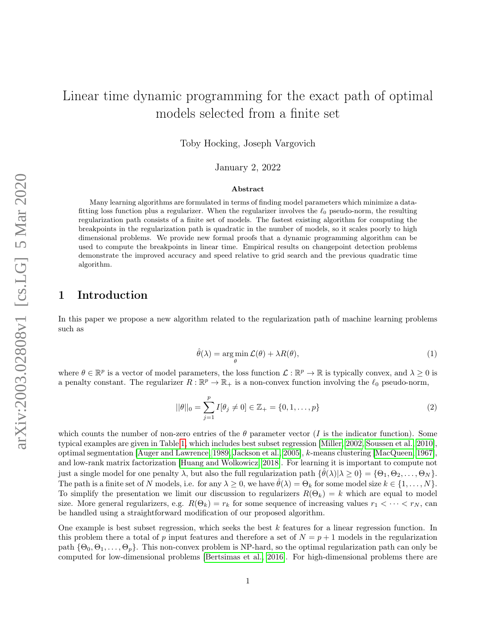# Linear time dynamic programming for the exact path of optimal models selected from a finite set

Toby Hocking, Joseph Vargovich

January 2, 2022

#### Abstract

Many learning algorithms are formulated in terms of finding model parameters which minimize a datafitting loss function plus a regularizer. When the regularizer involves the  $\ell_0$  pseudo-norm, the resulting regularization path consists of a finite set of models. The fastest existing algorithm for computing the breakpoints in the regularization path is quadratic in the number of models, so it scales poorly to high dimensional problems. We provide new formal proofs that a dynamic programming algorithm can be used to compute the breakpoints in linear time. Empirical results on changepoint detection problems demonstrate the improved accuracy and speed relative to grid search and the previous quadratic time algorithm.

## 1 Introduction

<span id="page-0-0"></span>In this paper we propose a new algorithm related to the regularization path of machine learning problems such as

$$
\hat{\theta}(\lambda) = \underset{\theta}{\arg\min} \mathcal{L}(\theta) + \lambda R(\theta),\tag{1}
$$

where  $\theta \in \mathbb{R}^p$  is a vector of model parameters, the loss function  $\mathcal{L}: \mathbb{R}^p \to \mathbb{R}$  is typically convex, and  $\lambda \geq 0$  is a penalty constant. The regularizer  $R : \mathbb{R}^p \to \mathbb{R}_+$  is a non-convex function involving the  $\ell_0$  pseudo-norm,

$$
||\theta||_0 = \sum_{j=1}^p I[\theta_j \neq 0] \in \mathbb{Z}_+ = \{0, 1, \dots, p\}
$$
 (2)

which counts the number of non-zero entries of the  $\theta$  parameter vector (I is the indicator function). Some typical examples are given in Table [1,](#page-1-0) which includes best subset regression [\[Miller, 2002,](#page-13-0) [Soussen et al., 2010\]](#page-13-1), optimal segmentation [\[Auger and Lawrence, 1989,](#page-12-0) [Jackson et al., 2005\]](#page-13-2), k-means clustering [\[MacQueen, 1967\]](#page-13-3), and low-rank matrix factorization [\[Huang and Wolkowicz, 2018\]](#page-13-4). For learning it is important to compute not just a single model for one penalty  $\lambda$ , but also the full regularization path  $\{\hat{\theta}(\lambda)|\lambda \geq 0\} = \{\Theta_1, \Theta_2, \ldots, \Theta_N\}.$ The path is a finite set of N models, i.e. for any  $\lambda \geq 0$ , we have  $\hat{\theta}(\lambda) = \Theta_k$  for some model size  $k \in \{1, \ldots, N\}$ . To simplify the presentation we limit our discussion to regularizers  $R(\Theta_k) = k$  which are equal to model size. More general regularizers, e.g.  $R(\Theta_k) = r_k$  for some sequence of increasing values  $r_1 < \cdots < r_N$ , can be handled using a straightforward modification of our proposed algorithm.

One example is best subset regression, which seeks the best  $k$  features for a linear regression function. In this problem there a total of p input features and therefore a set of  $N = p + 1$  models in the regularization path  $\{\Theta_0, \Theta_1, \ldots, \Theta_p\}$ . This non-convex problem is NP-hard, so the optimal regularization path can only be computed for low-dimensional problems [\[Bertsimas et al., 2016\]](#page-12-1). For high-dimensional problems there are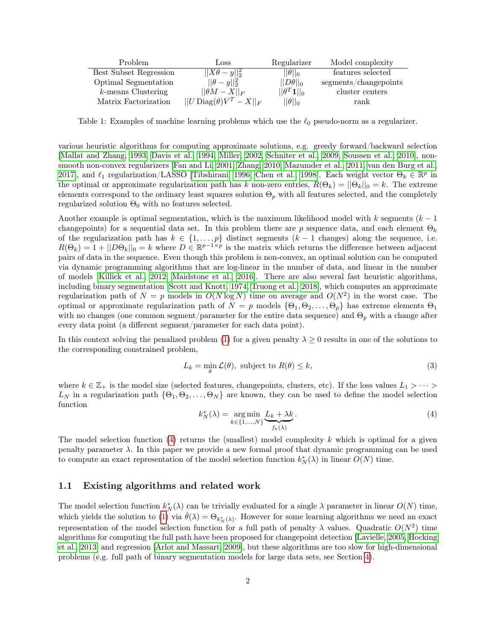| Problem                | Loss                                 | Regularizer                | Model complexity      |
|------------------------|--------------------------------------|----------------------------|-----------------------|
| Best Subset Regression | $  X\theta-y  _2^2$                  | $  \theta  _0$             | features selected     |
| Optimal Segmentation   | $  \theta - y  _2^2$                 | $  D\theta  _0$            | segments/changepoints |
| $k$ -means Clustering  | $  \theta M - X  _F$                 | $  \theta^T\textbf{1}  _0$ | cluster centers       |
| Matrix Factorization   | $  U \text{Diag}(\theta)V^T - X  _F$ | $  \theta  _0$             | rank                  |

<span id="page-1-0"></span>Table 1: Examples of machine learning problems which use the  $\ell_0$  pseudo-norm as a regularizer.

various heuristic algorithms for computing approximate solutions, e.g. greedy forward/backward selection [\[Mallat and Zhang, 1993,](#page-13-5) [Davis et al., 1994,](#page-12-2) [Miller, 2002,](#page-13-0) [Schniter et al., 2009,](#page-13-6) [Soussen et al., 2010\]](#page-13-1), nonsmooth non-convex regularizers [\[Fan and Li, 2001,](#page-12-3) [Zhang, 2010,](#page-13-7) [Mazumder et al., 2011,](#page-13-8) [van den Burg et al.,](#page-13-9) [2017\]](#page-13-9), and  $\ell_1$  regularization/LASSO [\[Tibshirani, 1996,](#page-13-10) [Chen et al., 1998\]](#page-12-4). Each weight vector  $\Theta_k \in \mathbb{R}^p$  in the optimal or approximate regularization path has k non-zero entries,  $R(\Theta_k) = ||\Theta_k||_0 = k$ . The extreme elements correspond to the ordinary least squares solution  $\Theta_p$  with all features selected, and the completely regularized solution  $\Theta_0$  with no features selected.

Another example is optimal segmentation, which is the maximum likelihood model with k segments  $(k - 1)$ changepoints) for a sequential data set. In this problem there are p sequence data, and each element  $\Theta_k$ of the regularization path has  $k \in \{1, \ldots, p\}$  distinct segments  $(k-1)$  changes) along the sequence, i.e.  $R(\Theta_k) = 1 + ||D\Theta_k||_0 = k$  where  $D \in \mathbb{R}^{p-1 \times p}$  is the matrix which returns the difference between adjacent pairs of data in the sequence. Even though this problem is non-convex, an optimal solution can be computed via dynamic programming algorithms that are log-linear in the number of data, and linear in the number of models [\[Killick et al., 2012,](#page-13-11) [Maidstone et al., 2016\]](#page-13-12). There are also several fast heuristic algorithms, including binary segmentation [\[Scott and Knott, 1974,](#page-13-13) [Truong et al., 2018\]](#page-13-14), which computes an approximate regularization path of  $N = p$  models in  $O(N \log N)$  time on average and  $O(N^2)$  in the worst case. The optimal or approximate regularization path of  $N = p$  models  $\{\Theta_1, \Theta_2, \ldots, \Theta_p\}$  has extreme elements  $\Theta_1$ with no changes (one common segment/parameter for the entire data sequence) and  $\Theta_p$  with a change after every data point (a different segment/parameter for each data point).

In this context solving the penalized problem [\(1\)](#page-0-0) for a given penalty  $\lambda \geq 0$  results in one of the solutions to the corresponding constrained problem,

$$
L_k = \min_{\theta} \mathcal{L}(\theta), \text{ subject to } R(\theta) \le k,
$$
\n(3)

<span id="page-1-1"></span>where  $k \in \mathbb{Z}_+$  is the model size (selected features, changepoints, clusters, etc). If the loss values  $L_1 > \cdots >$  $L_N$  in a regularization path  $\{\Theta_1, \Theta_2, \ldots, \Theta_N\}$  are known, they can be used to define the model selection function

$$
k_N^*(\lambda) = \underset{k \in \{1, \dots, N\}}{\text{arg min}} \underbrace{L_k + \lambda k}_{f_k(\lambda)}.
$$
\n<sup>(4)</sup>

The model selection function  $(4)$  returns the (smallest) model complexity k which is optimal for a given penalty parameter  $\lambda$ . In this paper we provide a new formal proof that dynamic programming can be used to compute an exact representation of the model selection function  $k_N^*(\lambda)$  in linear  $O(N)$  time.

### 1.1 Existing algorithms and related work

The model selection function  $k_N^*(\lambda)$  can be trivially evaluated for a single  $\lambda$  parameter in linear  $O(N)$  time, which yields the solution to [\(1\)](#page-0-0) via  $\hat{\theta}(\lambda) = \Theta_{k_N^*(\lambda)}$ . However for some learning algorithms we need an exact representation of the model selection function for a full path of penalty  $\lambda$  values. Quadratic  $O(N^2)$  time algorithms for computing the full path have been proposed for changepoint detection [\[Lavielle, 2005,](#page-13-15) [Hocking](#page-13-16) [et al., 2013\]](#page-13-16) and regression [\[Arlot and Massart, 2009\]](#page-12-5), but these algorithms are too slow for high-dimensional problems (e.g. full path of binary segmentation models for large data sets, see Section [4\)](#page-7-0).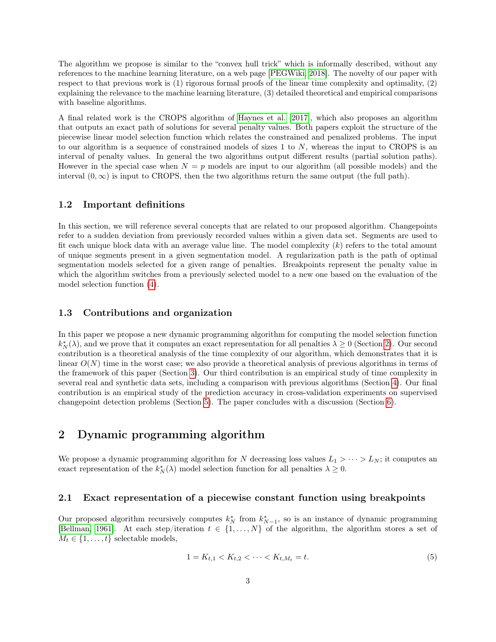The algorithm we propose is similar to the "convex hull trick" which is informally described, without any references to the machine learning literature, on a web page [\[PEGWiki, 2018\]](#page-13-17). The novelty of our paper with respect to that previous work is (1) rigorous formal proofs of the linear time complexity and optimality, (2) explaining the relevance to the machine learning literature, (3) detailed theoretical and empirical comparisons with baseline algorithms.

A final related work is the CROPS algorithm of [Haynes et al.](#page-12-6) [\[2017\]](#page-12-6), which also proposes an algorithm that outputs an exact path of solutions for several penalty values. Both papers exploit the structure of the piecewise linear model selection function which relates the constrained and penalized problems. The input to our algorithm is a sequence of constrained models of sizes  $1$  to  $N$ , whereas the input to CROPS is an interval of penalty values. In general the two algorithms output different results (partial solution paths). However in the special case when  $N = p$  models are input to our algorithm (all possible models) and the interval  $(0, \infty)$  is input to CROPS, then the two algorithms return the same output (the full path).

### 1.2 Important definitions

In this section, we will reference several concepts that are related to our proposed algorithm. Changepoints refer to a sudden deviation from previously recorded values within a given data set. Segments are used to fit each unique block data with an average value line. The model complexity  $(k)$  refers to the total amount of unique segments present in a given segmentation model. A regularization path is the path of optimal segmentation models selected for a given range of penalties. Breakpoints represent the penalty value in which the algorithm switches from a previously selected model to a new one based on the evaluation of the model selection function [\(4\)](#page-1-1).

### 1.3 Contributions and organization

In this paper we propose a new dynamic programming algorithm for computing the model selection function  $k_N^*(\lambda)$ , and we prove that it computes an exact representation for all penalties  $\lambda \geq 0$  (Section [2\)](#page-2-0). Our second contribution is a theoretical analysis of the time complexity of our algorithm, which demonstrates that it is linear  $O(N)$  time in the worst case; we also provide a theoretical analysis of previous algorithms in terms of the framework of this paper (Section [3\)](#page-5-0). Our third contribution is an empirical study of time complexity in several real and synthetic data sets, including a comparison with previous algorithms (Section [4\)](#page-7-0). Our final contribution is an empirical study of the prediction accuracy in cross-validation experiments on supervised changepoint detection problems (Section [5\)](#page-11-0). The paper concludes with a discussion (Section [6\)](#page-11-1).

### <span id="page-2-0"></span>2 Dynamic programming algorithm

We propose a dynamic programming algorithm for N decreasing loss values  $L_1 > \cdots > L_N$ ; it computes an exact representation of the  $k_N^*(\lambda)$  model selection function for all penalties  $\lambda \geq 0$ .

#### 2.1 Exact representation of a piecewise constant function using breakpoints

Our proposed algorithm recursively computes  $k_N^*$  from  $k_{N-1}^*$ , so is an instance of dynamic programming [\[Bellman, 1961\]](#page-12-7). At each step/iteration  $t \in \{1, ..., N\}$  of the algorithm, the algorithm stores a set of  $M_t \in \{1, \ldots, t\}$  selectable models,

<span id="page-2-1"></span>
$$
1 = K_{t,1} < K_{t,2} < \dots < K_{t,M_t} = t. \tag{5}
$$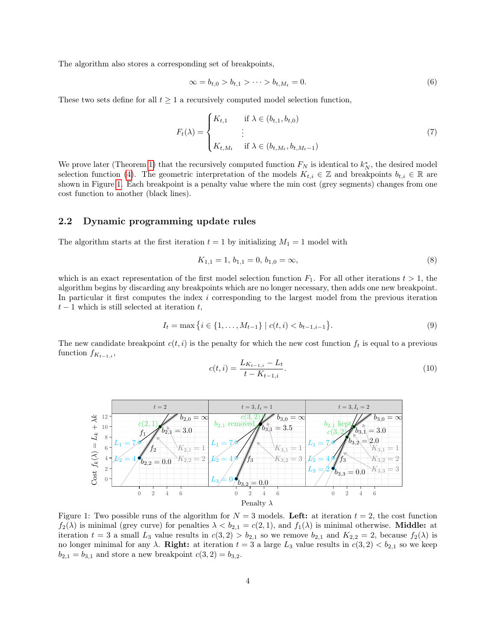The algorithm also stores a corresponding set of breakpoints,

<span id="page-3-2"></span>
$$
\infty = b_{t,0} > b_{t,1} > \dots > b_{t,M_t} = 0.
$$
\n(6)

These two sets define for all  $t \geq 1$  a recursively computed model selection function,

$$
F_t(\lambda) = \begin{cases} K_{t,1} & \text{if } \lambda \in (b_{t,1}, b_{t,0}) \\ \vdots & \vdots \\ K_{t,M_t} & \text{if } \lambda \in (b_{t,M_t}, b_{t,M_t-1}) \end{cases}
$$
(7)

We prove later (Theorem [1\)](#page-4-0) that the recursively computed function  $F_N$  is identical to  $k_N^*$ , the desired model selection function [\(4\)](#page-1-1). The geometric interpretation of the models  $K_{t,i} \in \mathbb{Z}$  and breakpoints  $b_{t,i} \in \mathbb{R}$  are shown in Figure [1.](#page-3-0) Each breakpoint is a penalty value where the min cost (grey segments) changes from one cost function to another (black lines).

### 2.2 Dynamic programming update rules

The algorithm starts at the first iteration  $t = 1$  by initializing  $M_1 = 1$  model with

<span id="page-3-4"></span><span id="page-3-3"></span>
$$
K_{1,1} = 1, b_{1,1} = 0, b_{1,0} = \infty,
$$
\n<sup>(8)</sup>

which is an exact representation of the first model selection function  $F_1$ . For all other iterations  $t > 1$ , the algorithm begins by discarding any breakpoints which are no longer necessary, then adds one new breakpoint. In particular it first computes the index i corresponding to the largest model from the previous iteration  $t-1$  which is still selected at iteration t,

<span id="page-3-1"></span>
$$
I_t = \max\left\{i \in \{1, \dots, M_{t-1}\} \mid c(t, i) < b_{t-1, i-1}\right\}.\tag{9}
$$

The new candidate breakpoint  $c(t, i)$  is the penalty for which the new cost function  $f_t$  is equal to a previous function  $f_{K_{t-1,i}}$ ,

$$
c(t,i) = \frac{L_{K_{t-1,i}} - L_t}{t - K_{t-1,i}}.\tag{10}
$$



<span id="page-3-0"></span>Figure 1: Two possible runs of the algorithm for  $N = 3$  models. Left: at iteration  $t = 2$ , the cost function  $f_2(\lambda)$  is minimal (grey curve) for penalties  $\lambda < b_{2,1} = c(2,1)$ , and  $f_1(\lambda)$  is minimal otherwise. **Middle:** at iteration  $t = 3$  a small  $L_3$  value results in  $c(3, 2) > b_{2,1}$  so we remove  $b_{2,1}$  and  $K_{2,2} = 2$ , because  $f_2(\lambda)$  is no longer minimal for any  $\lambda$ . Right: at iteration  $t = 3$  a large  $L_3$  value results in  $c(3, 2) < b_{2,1}$  so we keep  $b_{2,1} = b_{3,1}$  and store a new breakpoint  $c(3, 2) = b_{3,2}$ .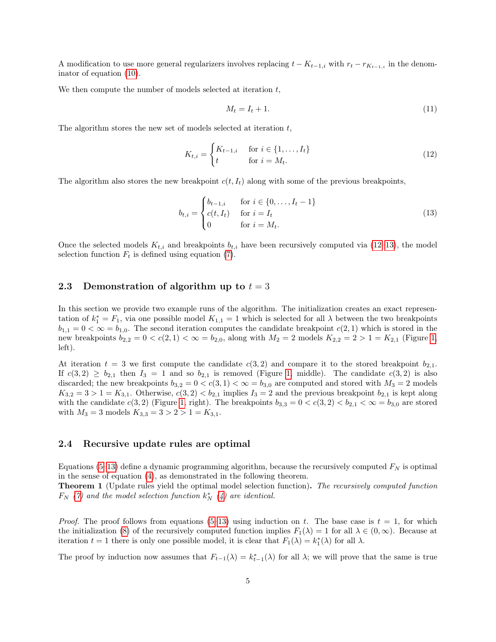A modification to use more general regularizers involves replacing  $t - K_{t-1,i}$  with  $r_t - r_{K_{t-1,i}}$  in the denominator of equation [\(10\)](#page-3-1).

We then compute the number of models selected at iteration  $t$ ,

<span id="page-4-2"></span><span id="page-4-1"></span>
$$
M_t = I_t + 1.\t\t(11)
$$

The algorithm stores the new set of models selected at iteration  $t$ ,

$$
K_{t,i} = \begin{cases} K_{t-1,i} & \text{for } i \in \{1, \dots, I_t\} \\ t & \text{for } i = M_t. \end{cases} \tag{12}
$$

The algorithm also stores the new breakpoint  $c(t, I_t)$  along with some of the previous breakpoints,

$$
b_{t,i} = \begin{cases} b_{t-1,i} & \text{for } i \in \{0, \dots, I_t - 1\} \\ c(t, I_t) & \text{for } i = I_t \\ 0 & \text{for } i = M_t. \end{cases}
$$
(13)

Once the selected models  $K_{t,i}$  and breakpoints  $b_{t,i}$  have been recursively computed via [\(12–](#page-4-1)[13\)](#page-4-2), the model selection function  $F_t$  is defined using equation [\(7\)](#page-3-2).

### 2.3 Demonstration of algorithm up to  $t = 3$

In this section we provide two example runs of the algorithm. The initialization creates an exact representation of  $k_1^* = F_1$ , via one possible model  $K_{1,1} = 1$  which is selected for all  $\lambda$  between the two breakpoints  $b_{1,1} = 0 < \infty = b_{1,0}$ . The second iteration computes the candidate breakpoint  $c(2,1)$  which is stored in the new breakpoints  $b_{2,2} = 0 < c(2,1) < \infty = b_{2,0}$ , along with  $M_2 = 2$  models  $K_{2,2} = 2 > 1 = K_{2,1}$  (Figure [1,](#page-3-0) left).

At iteration  $t = 3$  we first compute the candidate  $c(3,2)$  and compare it to the stored breakpoint  $b_{2,1}$ . If  $c(3,2) \ge b_{2,1}$  then  $I_3 = 1$  and so  $b_{2,1}$  is removed (Figure [1,](#page-3-0) middle). The candidate  $c(3,2)$  is also discarded; the new breakpoints  $b_{3,2} = 0 < c(3,1) < \infty = b_{3,0}$  are computed and stored with  $M_3 = 2$  models  $K_{3,2} = 3 > 1 = K_{3,1}$ . Otherwise,  $c(3,2) < b_{2,1}$  implies  $I_3 = 2$  and the previous breakpoint  $b_{2,1}$  is kept along with the candidate  $c(3, 2)$  (Figure [1,](#page-3-0) right). The breakpoints  $b_{3,3} = 0 < c(3, 2) < b_{2,1} < \infty = b_{3,0}$  are stored with  $M_3 = 3$  models  $K_{3,3} = 3 > 2 > 1 = K_{3,1}$ .

#### 2.4 Recursive update rules are optimal

Equations [\(5](#page-2-1)[–13\)](#page-4-2) define a dynamic programming algorithm, because the recursively computed  $F_N$  is optimal in the sense of equation [\(4\)](#page-1-1), as demonstrated in the following theorem.

<span id="page-4-0"></span>**Theorem 1** (Update rules yield the optimal model selection function). The recursively computed function  $F_N$  [\(7\)](#page-3-2) and the model selection function  $k_N^*$  [\(4\)](#page-1-1) are identical.

*Proof.* The proof follows from equations [\(5](#page-2-1)[–13\)](#page-4-2) using induction on t. The base case is  $t = 1$ , for which the initialization [\(8\)](#page-3-3) of the recursively computed function implies  $F_1(\lambda) = 1$  for all  $\lambda \in (0, \infty)$ . Because at iteration  $t = 1$  there is only one possible model, it is clear that  $F_1(\lambda) = k_1^*(\lambda)$  for all  $\lambda$ .

The proof by induction now assumes that  $F_{t-1}(\lambda) = k_{t-1}^*(\lambda)$  for all  $\lambda$ ; we will prove that the same is true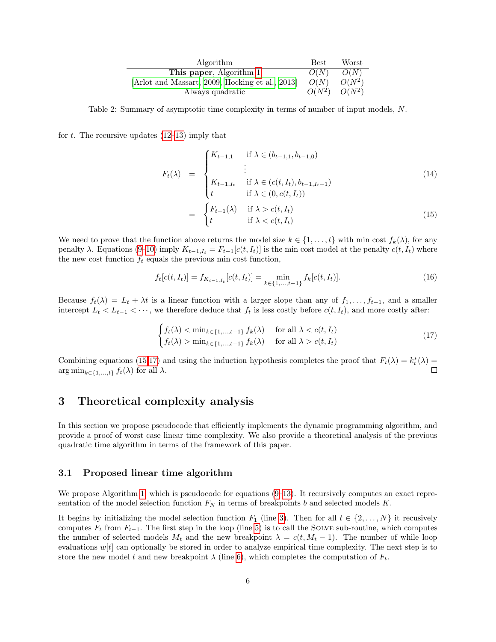| Algorithm                                     | Best.    | Worst    |
|-----------------------------------------------|----------|----------|
| This paper, Algorithm 1                       | O(N)     | O(N)     |
| Arlot and Massart, 2009, Hocking et al., 2013 | O(N)     | $O(N^2)$ |
| Always quadratic                              | $O(N^2)$ | $O(N^2)$ |

<span id="page-5-3"></span>Table 2: Summary of asymptotic time complexity in terms of number of input models, N.

for t. The recursive updates  $(12-13)$  $(12-13)$  imply that

<span id="page-5-1"></span>
$$
F_{t}(\lambda) = \begin{cases} K_{t-1,1} & \text{if } \lambda \in (b_{t-1,1}, b_{t-1,0}) \\ \vdots & \text{if } \lambda \in (c(t, I_t), b_{t-1, I_{t-1}) \\ t & \text{if } \lambda \in (0, c(t, I_t)) \\ t & \text{if } \lambda > c(t, I_t) \end{cases}
$$
(14)  

$$
= \begin{cases} F_{t-1}(\lambda) & \text{if } \lambda > c(t, I_t) \\ t & \text{if } \lambda < c(t, I_t) \end{cases}
$$
(15)

We need to prove that the function above returns the model size  $k \in \{1, \ldots, t\}$  with min cost  $f_k(\lambda)$ , for any penalty  $\lambda$ . Equations [\(9](#page-3-4)[–10\)](#page-3-1) imply  $K_{t-1,I_t} = F_{t-1}[c(t,I_t)]$  is the min cost model at the penalty  $c(t,I_t)$  where the new cost function  $f_t$  equals the previous min cost function,

$$
f_t[c(t, I_t)] = f_{K_{t-1, I_t}}[c(t, I_t)] = \min_{k \in \{1, \dots, t-1\}} f_k[c(t, I_t)].
$$
\n(16)

Because  $f_t(\lambda) = L_t + \lambda t$  is a linear function with a larger slope than any of  $f_1, \ldots, f_{t-1}$ , and a smaller intercept  $L_t < L_{t-1} < \cdots$ , we therefore deduce that  $f_t$  is less costly before  $c(t, I_t)$ , and more costly after:

<span id="page-5-2"></span>
$$
\begin{cases} f_t(\lambda) < \min_{k \in \{1, \dots, t-1\}} f_k(\lambda) \quad \text{for all } \lambda < c(t, I_t) \\ f_t(\lambda) > \min_{k \in \{1, \dots, t-1\}} f_k(\lambda) \quad \text{for all } \lambda > c(t, I_t) \end{cases} \tag{17}
$$

Combining equations [\(15,](#page-5-1)[17\)](#page-5-2) and using the induction hypothesis completes the proof that  $F_t(\lambda) = k_t^*(\lambda) =$  $\arg \min_{k \in \{1, \ldots, t\}} f_t(\lambda)$  for all  $\lambda$ .

### <span id="page-5-0"></span>3 Theoretical complexity analysis

In this section we propose pseudocode that efficiently implements the dynamic programming algorithm, and provide a proof of worst case linear time complexity. We also provide a theoretical analysis of the previous quadratic time algorithm in terms of the framework of this paper.

### 3.1 Proposed linear time algorithm

We propose Algorithm [1,](#page-6-0) which is pseudocode for equations  $(9-13)$  $(9-13)$ . It recursively computes an exact representation of the model selection function  $F_N$  in terms of breakpoints b and selected models K.

It begins by initializing the model selection function  $F_1$  (line [3\)](#page-6-1). Then for all  $t \in \{2, \ldots, N\}$  it recusively computes  $F_t$  from  $F_{t-1}$ . The first step in the loop (line [5\)](#page-6-2) is to call the SOLVE sub-routine, which computes the number of selected models  $M_t$  and the new breakpoint  $\lambda = c(t, M_t - 1)$ . The number of while loop evaluations  $w[t]$  can optionally be stored in order to analyze empirical time complexity. The next step is to store the new model t and new breakpoint  $\lambda$  (line [6\)](#page-6-3), which completes the computation of  $F_t$ .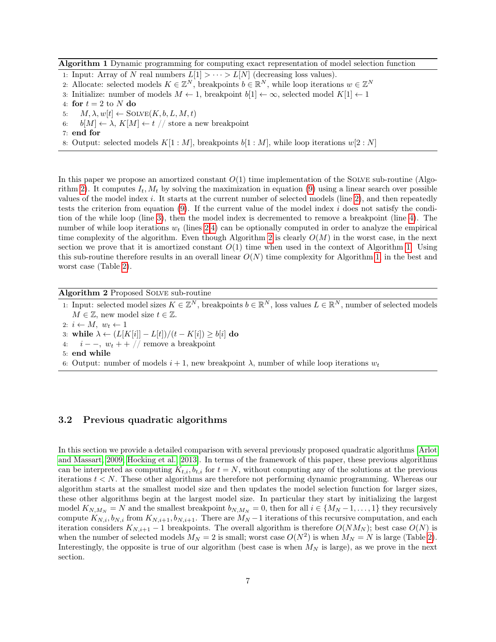<span id="page-6-0"></span>Algorithm 1 Dynamic programming for computing exact representation of model selection function

- <span id="page-6-1"></span>1: Input: Array of N real numbers  $L[1] > \cdots > L[N]$  (decreasing loss values).
- 2. Allocate: selected models  $K \in \mathbb{Z}^N$ , breakpoints  $b \in \mathbb{R}^N$ , while loop iterations  $w \in \mathbb{Z}^N$
- 3: Initialize: number of models  $M \leftarrow 1$ , breakpoint  $b[1] \leftarrow \infty$ , selected model  $K[1] \leftarrow 1$
- <span id="page-6-3"></span>4: for  $t = 2$  to N do
- <span id="page-6-2"></span>5:  $M, \lambda, w[t] \leftarrow \text{SOLVE}(K, b, L, M, t)$
- 6:  $b[M] \leftarrow \lambda$ ,  $K[M] \leftarrow t$  // store a new breakpoint
- 7: end for

8: Output: selected models  $K[1:M]$ , breakpoints  $b[1:M]$ , while loop iterations  $w[2:N]$ 

In this paper we propose an amortized constant  $O(1)$  time implementation of the SOLVE sub-routine (Algo-rithm [2\)](#page-6-4). It computes  $I_t$ ,  $M_t$  by solving the maximization in equation [\(9\)](#page-3-4) using a linear search over possible values of the model index i. It starts at the current number of selected models (line [2\)](#page-6-5), and then repeatedly tests the criterion from equation  $(9)$ . If the current value of the model index i does not satisfy the condition of the while loop (line [3\)](#page-6-6), then the model index is decremented to remove a breakpoint (line [4\)](#page-6-7). The number of while loop iterations  $w_t$  (lines [2,](#page-6-5)[4\)](#page-6-7) can be optionally computed in order to analyze the empirical time complexity of the algorithm. Even though Algorithm [2](#page-6-4) is clearly  $O(M)$  in the worst case, in the next section we prove that it is amortized constant  $O(1)$  time when used in the context of Algorithm [1.](#page-6-0) Using this sub-routine therefore results in an overall linear  $O(N)$  time complexity for Algorithm [1,](#page-6-0) in the best and worst case (Table [2\)](#page-5-3).

<span id="page-6-4"></span>Algorithm 2 Proposed Solve sub-routine

<span id="page-6-7"></span><span id="page-6-6"></span><span id="page-6-5"></span>1: Input: selected model sizes  $K \in \mathbb{Z}^N$ , breakpoints  $b \in \mathbb{R}^N$ , loss values  $L \in \mathbb{R}^N$ , number of selected models  $M \in \mathbb{Z}$ , new model size  $t \in \mathbb{Z}$ . 2:  $i \leftarrow M$ ,  $w_t \leftarrow 1$ 3: while  $\lambda \leftarrow (L[K[i]] - L[t])/(t - K[i]) \geq b[i]$  do  $i - -$ ,  $w_t + +$  // remove a breakpoint 5: end while 6: Output: number of models  $i + 1$ , new breakpoint  $\lambda$ , number of while loop iterations  $w_t$ 

### 3.2 Previous quadratic algorithms

In this section we provide a detailed comparison with several previously proposed quadratic algorithms [\[Arlot](#page-12-5) [and Massart, 2009,](#page-12-5) [Hocking et al., 2013\]](#page-13-16). In terms of the framework of this paper, these previous algorithms can be interpreted as computing  $K_{t,i}$ ,  $b_{t,i}$  for  $t = N$ , without computing any of the solutions at the previous iterations  $t < N$ . These other algorithms are therefore not performing dynamic programming. Whereas our algorithm starts at the smallest model size and then updates the model selection function for larger sizes, these other algorithms begin at the largest model size. In particular they start by initializing the largest model  $K_{N,M_N} = N$  and the smallest breakpoint  $b_{N,M_N} = 0$ , then for all  $i \in \{M_N - 1, \ldots, 1\}$  they recursively compute  $K_{N,i}$ ,  $b_{N,i}$  from  $K_{N,i+1}$ ,  $b_{N,i+1}$ . There are  $M_N - 1$  iterations of this recursive computation, and each iteration considers  $K_{N,i+1}$  – 1 breakpoints. The overall algorithm is therefore  $O(NM_N)$ ; best case  $O(N)$  is when the number of selected models  $M_N = 2$  is small; worst case  $O(N^2)$  is when  $M_N = N$  is large (Table [2\)](#page-5-3). Interestingly, the opposite is true of our algorithm (best case is when  $M_N$  is large), as we prove in the next section.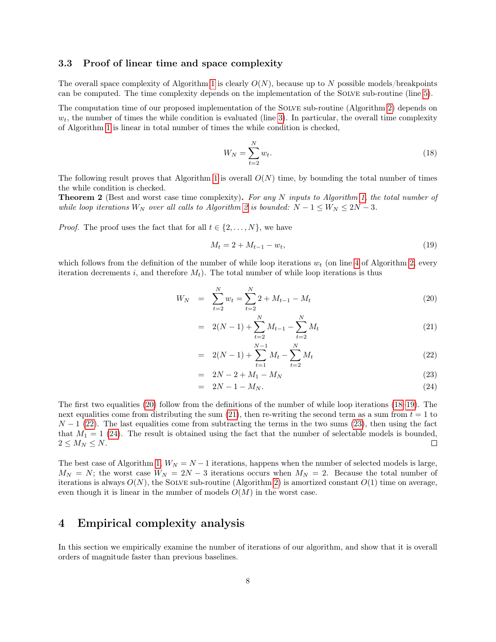### <span id="page-7-5"></span>3.3 Proof of linear time and space complexity

The overall space complexity of Algorithm [1](#page-6-0) is clearly  $O(N)$ , because up to N possible models/breakpoints can be computed. The time complexity depends on the implementation of the Solve sub-routine (line [5\)](#page-6-2).

The computation time of our proposed implementation of the SOLVE sub-routine (Algorithm [2\)](#page-6-4) depends on  $w_t$ , the number of times the while condition is evaluated (line [3\)](#page-6-6). In particular, the overall time complexity of Algorithm [1](#page-6-0) is linear in total number of times the while condition is checked,

<span id="page-7-2"></span>
$$
W_N = \sum_{t=2}^N w_t.
$$
\n
$$
(18)
$$

The following result proves that Algorithm [1](#page-6-0) is overall  $O(N)$  time, by bounding the total number of times the while condition is checked.

<span id="page-7-4"></span>**Theorem 2** (Best and worst case time complexity). For any N inputs to Algorithm [1,](#page-6-0) the total number of while loop iterations  $W_N$  over all calls to Algorithm [2](#page-6-4) is bounded:  $N - 1 \le W_N \le 2N - 3$ .

*Proof.* The proof uses the fact that for all  $t \in \{2, ..., N\}$ , we have

<span id="page-7-3"></span>
$$
M_t = 2 + M_{t-1} - w_t,\t\t(19)
$$

which follows from the definition of the number of while loop iterations  $w_t$  (on line [4](#page-6-7) of Algorithm [2,](#page-6-4) every iteration decrements i, and therefore  $M_t$ ). The total number of while loop iterations is thus

<span id="page-7-1"></span>
$$
W_N = \sum_{t=2}^{N} w_t = \sum_{t=2}^{N} 2 + M_{t-1} - M_t
$$
\n(20)

$$
= 2(N-1) + \sum_{t=2}^{N} M_{t-1} - \sum_{t=2}^{N} M_t
$$
\n(21)

$$
= 2(N-1) + \sum_{t=1}^{N-1} M_t - \sum_{t=2}^{N} M_t
$$
\n(22)

$$
= 2N - 2 + M_1 - M_N \tag{23}
$$

$$
= 2N - 1 - M_N. \tag{24}
$$

The first two equalities [\(20\)](#page-7-1) follow from the definitions of the number of while loop iterations [\(18–](#page-7-2)[19\)](#page-7-3). The next equalities come from distributing the sum [\(21\)](#page-7-1), then re-writing the second term as a sum from  $t = 1$  to  $N-1$  [\(22\)](#page-7-1). The last equalities come from subtracting the terms in the two sums [\(23\)](#page-7-1), then using the fact that  $M_1 = 1$  [\(24\)](#page-7-1). The result is obtained using the fact that the number of selectable models is bounded,  $2 \leq M_N \leq N$ .  $\Box$ 

The best case of Algorithm [1,](#page-6-0)  $W_N = N - 1$  iterations, happens when the number of selected models is large,  $M_N = N$ ; the worst case  $W_N = 2N - 3$  iterations occurs when  $M_N = 2$ . Because the total number of iterations is always  $O(N)$ , the SOLVE sub-routine (Algorithm [2\)](#page-6-4) is amortized constant  $O(1)$  time on average, even though it is linear in the number of models  $O(M)$  in the worst case.

## <span id="page-7-0"></span>4 Empirical complexity analysis

In this section we empirically examine the number of iterations of our algorithm, and show that it is overall orders of magnitude faster than previous baselines.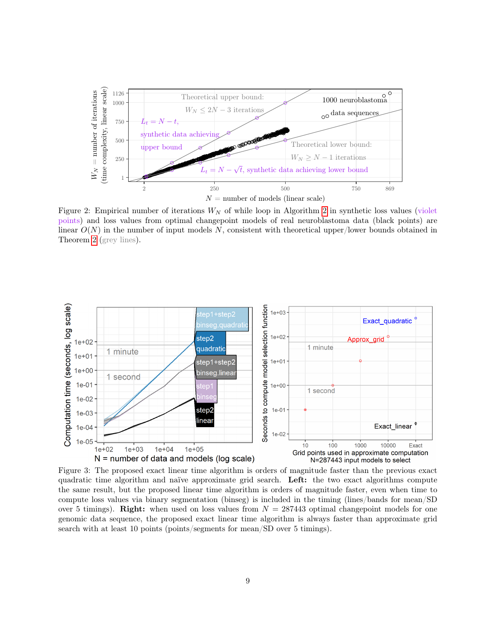

<span id="page-8-0"></span>Figure [2](#page-6-4): Empirical number of iterations  $W_N$  of while loop in Algorithm 2 in synthetic loss values (violet points) and loss values from optimal changepoint models of real neuroblastoma data (black points) are linear  $O(N)$  in the number of input models N, consistent with theoretical upper/lower bounds obtained in Theorem [2](#page-7-4) (grey lines).



<span id="page-8-1"></span>Figure 3: The proposed exact linear time algorithm is orders of magnitude faster than the previous exact quadratic time algorithm and naïve approximate grid search. Left: the two exact algorithms compute the same result, but the proposed linear time algorithm is orders of magnitude faster, even when time to compute loss values via binary segmentation (binseg) is included in the timing (lines/bands for mean/SD over 5 timings). Right: when used on loss values from  $N = 287443$  optimal changepoint models for one genomic data sequence, the proposed exact linear time algorithm is always faster than approximate grid search with at least 10 points (points/segments for mean/SD over 5 timings).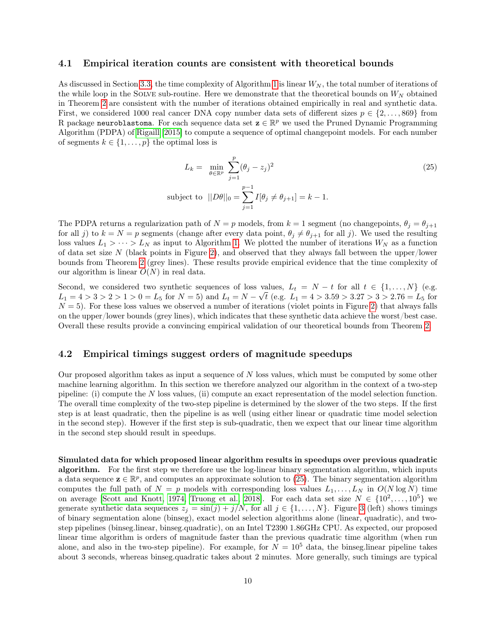#### 4.1 Empirical iteration counts are consistent with theoretical bounds

As discussed in Section [3.3,](#page-7-5) the time complexity of Algorithm [1](#page-6-0) is linear  $W_N$ , the total number of iterations of the while loop in the SOLVE sub-routine. Here we demonstrate that the theoretical bounds on  $W_N$  obtained in Theorem [2](#page-7-4) are consistent with the number of iterations obtained empirically in real and synthetic data. First, we considered 1000 real cancer DNA copy number data sets of different sizes  $p \in \{2, \ldots, 869\}$  from R package neuroblastoma. For each sequence data set  $\mathbf{z} \in \mathbb{R}^p$  we used the Pruned Dynamic Programming Algorithm (PDPA) of [Rigaill](#page-13-18) [\[2015\]](#page-13-18) to compute a sequence of optimal changepoint models. For each number of segments  $k \in \{1, \ldots, p\}$  the optimal loss is

<span id="page-9-0"></span>
$$
L_k = \min_{\theta \in \mathbb{R}^p} \sum_{j=1}^p (\theta_j - z_j)^2
$$
  
subject to  $||D\theta||_0 = \sum_{j=1}^{p-1} I[\theta_j \neq \theta_{j+1}] = k - 1.$  (25)

The PDPA returns a regularization path of  $N = p$  models, from  $k = 1$  segment (no changepoints,  $\theta_i = \theta_{i+1}$ for all j) to  $k = N = p$  segments (change after every data point,  $\theta_j \neq \theta_{j+1}$  for all j). We used the resulting loss values  $L_1 > \cdots > L_N$  as input to Algorithm [1.](#page-6-0) We plotted the number of iterations  $W_N$  as a function of data set size  $N$  (black points in Figure [2\)](#page-8-0), and observed that they always fall between the upper/lower bounds from Theorem [2](#page-7-4) (grey lines). These results provide empirical evidence that the time complexity of our algorithm is linear  $O(N)$  in real data.

Second, we considered two synthetic sequences of loss values,  $L_t = N - t$  for all  $t \in \{1, ..., N\}$  (e.g.  $L_1 = 4 > 3 > 2 > 1 > 0 = L_5$  for  $N = 5$ ) and  $L_t = N - \sqrt{t}$  (e.g.  $L_1 = 4 > 3.59 > 3.27 > 3 > 2.76 = L_5$  for  $N = 5$ ). For these loss values we observed a number of iterations (violet points in Figure [2\)](#page-8-0) that always falls on the upper/lower bounds (grey lines), which indicates that these synthetic data achieve the worst/best case. Overall these results provide a convincing empirical validation of our theoretical bounds from Theorem [2.](#page-7-4)

### 4.2 Empirical timings suggest orders of magnitude speedups

Our proposed algorithm takes as input a sequence of  $N$  loss values, which must be computed by some other machine learning algorithm. In this section we therefore analyzed our algorithm in the context of a two-step pipeline: (i) compute the N loss values, (ii) compute an exact representation of the model selection function. The overall time complexity of the two-step pipeline is determined by the slower of the two steps. If the first step is at least quadratic, then the pipeline is as well (using either linear or quadratic time model selection in the second step). However if the first step is sub-quadratic, then we expect that our linear time algorithm in the second step should result in speedups.

Simulated data for which proposed linear algorithm results in speedups over previous quadratic algorithm. For the first step we therefore use the log-linear binary segmentation algorithm, which inputs a data sequence  $\mathbf{z} \in \mathbb{R}^p$ , and computes an approximate solution to [\(25\)](#page-9-0). The binary segmentation algorithm computes the full path of  $N = p$  models with corresponding loss values  $L_1, \ldots, L_N$  in  $O(N \log N)$  time on average [\[Scott and Knott, 1974,](#page-13-13) [Truong et al., 2018\]](#page-13-14). For each data set size  $N \in \{10^2, \ldots, 10^5\}$  we generate synthetic data sequences  $z_j = \sin(j) + j/N$ , for all  $j \in \{1, ..., N\}$ . Figure [3](#page-8-1) (left) shows timings of binary segmentation alone (binseg), exact model selection algorithms alone (linear, quadratic), and twostep pipelines (binseg.linear, binseg.quadratic), on an Intel T2390 1.86GHz CPU. As expected, our proposed linear time algorithm is orders of magnitude faster than the previous quadratic time algorithm (when run alone, and also in the two-step pipeline). For example, for  $N = 10^5$  data, the binseg.linear pipeline takes about 3 seconds, whereas binseg.quadratic takes about 2 minutes. More generally, such timings are typical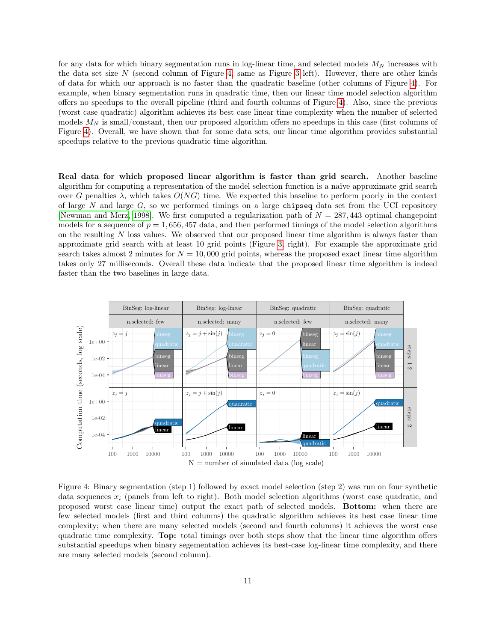for any data for which binary segmentation runs in log-linear time, and selected models  $M_N$  increases with the data set size  $N$  (second column of Figure [4,](#page-10-0) same as Figure [3](#page-8-1) left). However, there are other kinds of data for which our approach is no faster than the quadratic baseline (other columns of Figure [4\)](#page-10-0). For example, when binary segmentation runs in quadratic time, then our linear time model selection algorithm offers no speedups to the overall pipeline (third and fourth columns of Figure [4\)](#page-10-0). Also, since the previous (worst case quadratic) algorithm achieves its best case linear time complexity when the number of selected models  $M_N$  is small/constant, then our proposed algorithm offers no speedups in this case (first columns of Figure [4\)](#page-10-0). Overall, we have shown that for some data sets, our linear time algorithm provides substantial speedups relative to the previous quadratic time algorithm.

Real data for which proposed linear algorithm is faster than grid search. Another baseline algorithm for computing a representation of the model selection function is a naïve approximate grid search over G penalties  $\lambda$ , which takes  $O(NG)$  time. We expected this baseline to perform poorly in the context of large  $N$  and large  $G$ , so we performed timings on a large chipseq data set from the UCI repository [\[Newman and Merz, 1998\]](#page-13-19). We first computed a regularization path of  $N = 287,443$  optimal changepoint models for a sequence of  $p = 1,656,457$  data, and then performed timings of the model selection algorithms on the resulting  $N$  loss values. We observed that our proposed linear time algorithm is always faster than approximate grid search with at least 10 grid points (Figure [3,](#page-8-1) right). For example the approximate grid search takes almost 2 minutes for  $N = 10,000$  grid points, whereas the proposed exact linear time algorithm takes only 27 milliseconds. Overall these data indicate that the proposed linear time algorithm is indeed faster than the two baselines in large data.



<span id="page-10-0"></span>Figure 4: Binary segmentation (step 1) followed by exact model selection (step 2) was run on four synthetic data sequences  $x_i$  (panels from left to right). Both model selection algorithms (worst case quadratic, and proposed worst case linear time) output the exact path of selected models. Bottom: when there are few selected models (first and third columns) the quadratic algorithm achieves its best case linear time complexity; when there are many selected models (second and fourth columns) it achieves the worst case quadratic time complexity. Top: total timings over both steps show that the linear time algorithm offers substantial speedups when binary segementation achieves its best-case log-linear time complexity, and there are many selected models (second column).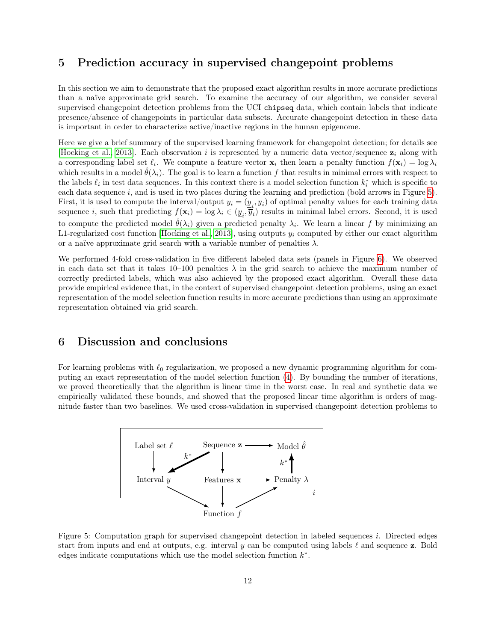### <span id="page-11-0"></span>5 Prediction accuracy in supervised changepoint problems

In this section we aim to demonstrate that the proposed exact algorithm results in more accurate predictions than a naïve approximate grid search. To examine the accuracy of our algorithm, we consider several supervised changepoint detection problems from the UCI chipseq data, which contain labels that indicate presence/absence of changepoints in particular data subsets. Accurate changepoint detection in these data is important in order to characterize active/inactive regions in the human epigenome.

Here we give a brief summary of the supervised learning framework for changepoint detection; for details see [\[Hocking et al., 2013\]](#page-13-16). Each observation i is represented by a numeric data vector/sequence  $z_i$  along with a corresponding label set  $\ell_i$ . We compute a feature vector  $\mathbf{x}_i$  then learn a penalty function  $f(\mathbf{x}_i) = \log \lambda_i$ which results in a model  $\hat{\theta}(\lambda_i)$ . The goal is to learn a function f that results in minimal errors with respect to the labels  $\ell_i$  in test data sequences. In this context there is a model selection function  $k_i^*$  which is specific to each data sequence  $i$ , and is used in two places during the learning and prediction (bold arrows in Figure [5\)](#page-11-2). First, it is used to compute the interval/output  $y_i = (y_i, \overline{y}_i)$  of optimal penalty values for each training data sequence *i*, such that predicting  $f(\mathbf{x}_i) = \log \lambda_i \in (\underline{y}_i, \overline{y}_i)$  results in minimal label errors. Second, it is used to compute the predicted model  $\hat{\theta}(\lambda_i)$  given a predicted penalty  $\lambda_i$ . We learn a linear f by minimizing an L1-regularized cost function [\[Hocking et al., 2013\]](#page-13-16), using outputs  $y_i$  computed by either our exact algorithm or a naïve approximate grid search with a variable number of penalties  $\lambda$ .

We performed 4-fold cross-validation in five different labeled data sets (panels in Figure [6\)](#page-12-8). We observed in each data set that it takes 10–100 penalties  $\lambda$  in the grid search to achieve the maximum number of correctly predicted labels, which was also achieved by the proposed exact algorithm. Overall these data provide empirical evidence that, in the context of supervised changepoint detection problems, using an exact representation of the model selection function results in more accurate predictions than using an approximate representation obtained via grid search.

## <span id="page-11-1"></span>6 Discussion and conclusions

For learning problems with  $\ell_0$  regularization, we proposed a new dynamic programming algorithm for computing an exact representation of the model selection function [\(4\)](#page-1-1). By bounding the number of iterations, we proved theoretically that the algorithm is linear time in the worst case. In real and synthetic data we empirically validated these bounds, and showed that the proposed linear time algorithm is orders of magnitude faster than two baselines. We used cross-validation in supervised changepoint detection problems to



<span id="page-11-2"></span>Figure 5: Computation graph for supervised changepoint detection in labeled sequences i. Directed edges start from inputs and end at outputs, e.g. interval y can be computed using labels  $\ell$  and sequence z. Bold edges indicate computations which use the model selection function  $k^*$ .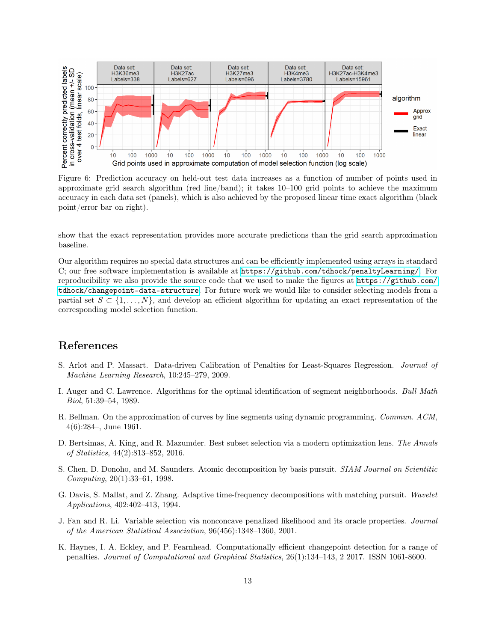

<span id="page-12-8"></span>Figure 6: Prediction accuracy on held-out test data increases as a function of number of points used in approximate grid search algorithm (red line/band); it takes 10–100 grid points to achieve the maximum accuracy in each data set (panels), which is also achieved by the proposed linear time exact algorithm (black point/error bar on right).

show that the exact representation provides more accurate predictions than the grid search approximation baseline.

Our algorithm requires no special data structures and can be efficiently implemented using arrays in standard C; our free software implementation is available at <https://github.com/tdhock/penaltyLearning/>. For reproducibility we also provide the source code that we used to make the figures at [https://github.com/](https://github.com/tdhock/changepoint-data-structure) [tdhock/changepoint-data-structure](https://github.com/tdhock/changepoint-data-structure). For future work we would like to consider selecting models from a partial set  $S \subset \{1, \ldots, N\}$ , and develop an efficient algorithm for updating an exact representation of the corresponding model selection function.

# References

- <span id="page-12-5"></span>S. Arlot and P. Massart. Data-driven Calibration of Penalties for Least-Squares Regression. Journal of Machine Learning Research, 10:245–279, 2009.
- <span id="page-12-0"></span>I. Auger and C. Lawrence. Algorithms for the optimal identification of segment neighborhoods. Bull Math Biol, 51:39–54, 1989.
- <span id="page-12-7"></span>R. Bellman. On the approximation of curves by line segments using dynamic programming. Commun. ACM, 4(6):284–, June 1961.
- <span id="page-12-1"></span>D. Bertsimas, A. King, and R. Mazumder. Best subset selection via a modern optimization lens. The Annals of Statistics, 44(2):813–852, 2016.
- <span id="page-12-4"></span>S. Chen, D. Donoho, and M. Saunders. Atomic decomposition by basis pursuit. SIAM Journal on Scientitic Computing, 20(1):33–61, 1998.
- <span id="page-12-2"></span>G. Davis, S. Mallat, and Z. Zhang. Adaptive time-frequency decompositions with matching pursuit. Wavelet Applications, 402:402–413, 1994.
- <span id="page-12-3"></span>J. Fan and R. Li. Variable selection via nonconcave penalized likelihood and its oracle properties. Journal of the American Statistical Association, 96(456):1348–1360, 2001.
- <span id="page-12-6"></span>K. Haynes, I. A. Eckley, and P. Fearnhead. Computationally efficient changepoint detection for a range of penalties. Journal of Computational and Graphical Statistics, 26(1):134–143, 2 2017. ISSN 1061-8600.